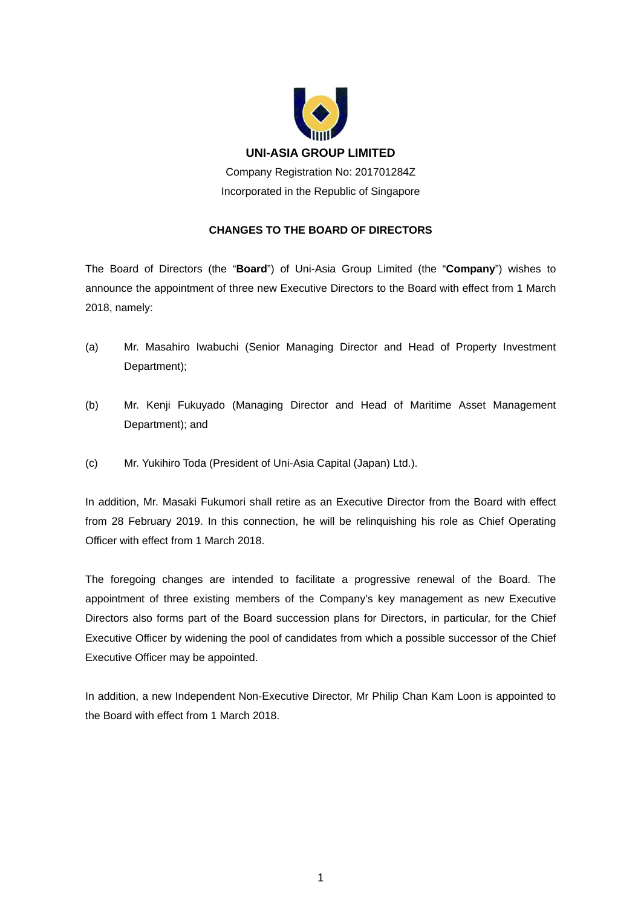

## **CHANGES TO THE BOARD OF DIRECTORS**

The Board of Directors (the "**Board**") of Uni-Asia Group Limited (the "**Company**") wishes to announce the appointment of three new Executive Directors to the Board with effect from 1 March 2018, namely:

- (a) Mr. Masahiro Iwabuchi (Senior Managing Director and Head of Property Investment Department);
- (b) Mr. Kenji Fukuyado (Managing Director and Head of Maritime Asset Management Department); and
- (c) Mr. Yukihiro Toda (President of Uni-Asia Capital (Japan) Ltd.).

In addition, Mr. Masaki Fukumori shall retire as an Executive Director from the Board with effect from 28 February 2019. In this connection, he will be relinquishing his role as Chief Operating Officer with effect from 1 March 2018.

The foregoing changes are intended to facilitate a progressive renewal of the Board. The appointment of three existing members of the Company's key management as new Executive Directors also forms part of the Board succession plans for Directors, in particular, for the Chief Executive Officer by widening the pool of candidates from which a possible successor of the Chief Executive Officer may be appointed.

In addition, a new Independent Non-Executive Director, Mr Philip Chan Kam Loon is appointed to the Board with effect from 1 March 2018.